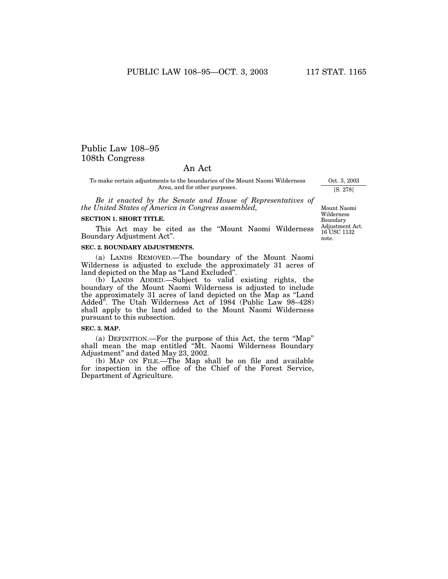# Public Law 108–95 108th Congress

# An Act

To make certain adjustments to the boundaries of the Mount Naomi Wilderness Area, and for other purposes.

*Be it enacted by the Senate and House of Representatives of the United States of America in Congress assembled,* 

## **SECTION 1. SHORT TITLE.**

This Act may be cited as the ''Mount Naomi Wilderness Boundary Adjustment Act''.

### **SEC. 2. BOUNDARY ADJUSTMENTS.**

(a) LANDS REMOVED.—The boundary of the Mount Naomi Wilderness is adjusted to exclude the approximately 31 acres of land depicted on the Map as ''Land Excluded''.

(b) LANDS ADDED.—Subject to valid existing rights, the boundary of the Mount Naomi Wilderness is adjusted to include the approximately 31 acres of land depicted on the Map as ''Land Added''. The Utah Wilderness Act of 1984 (Public Law 98–428) shall apply to the land added to the Mount Naomi Wilderness pursuant to this subsection.

#### **SEC. 3. MAP.**

(a) DEFINITION.—For the purpose of this Act, the term ''Map'' shall mean the map entitled "Mt. Naomi Wilderness Boundary Adjustment'' and dated May 23, 2002.

(b) MAP ON FILE.—The Map shall be on file and available for inspection in the office of the Chief of the Forest Service, Department of Agriculture.

Oct. 3, 2003 [S. 278]

Mount Naomi Wilderness Boundary Adjustment Act. 16 USC 1132 note.